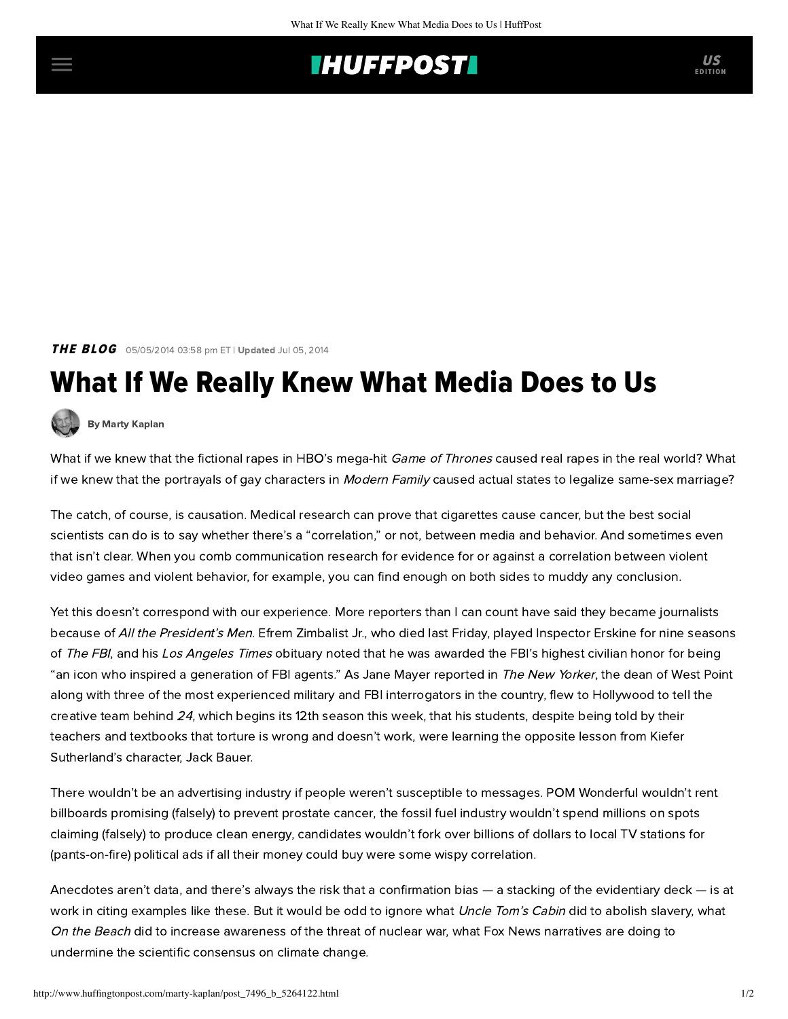## **IHUFFPOSTI** US

**THE BLOG** 05/05/2014 03:58 pm ET | Updated Jul 05, 2014

## What If We Really Knew What Media Does to Us



[By Marty Kaplan](http://www.huffingtonpost.com/author/marty-kaplan)

What if we knew that the fictional rapes in HBO's mega-hit Game of Thrones caused real [rapes in the real world](http://www.nytimes.com/2014/05/03/arts/television/for-game-of-thrones-rising-unease-over-rapes-recurring-role.html?_r=0)? What if we knew that the portrayals of gay characters in Modern Family caused actual states to legalize same-sex marriage?

The catch, of course, is causation. Medical research can prove that cigarettes cause cancer, but the best social scientists can do is to say whether there's a "correlation," or not, between media and behavior. And sometimes even that isn't clear. When you comb communication research for evidence for or against a correlation between violent video games and violent behavior, for example, you can find enough on both sides to muddy any conclusion.

Yet this doesn't correspond with our experience. More reporters than I can count have said they became journalists because of All the President's Men. Efrem Zimbalist Jr., who died last Friday, played Inspector Erskine for nine seasons of The FBI, and his Los Angeles Times [obituary](http://www.latimes.com/obituaries/la-me-efrem-zimbalist-20140503,0,6697404.story#axzz30mO5v2CX) noted that he was awarded the FBI's highest civilian honor for being "an icon who inspired a generation of FBI agents." As Jane Mayer [reported](http://www.newyorker.com/reporting/2007/02/19/070219fa_fact_mayer?currentPage=all) in The New Yorker, the dean of West Point along with three of the most experienced military and FBI interrogators in the country, flew to Hollywood to tell the creative team behind 24, which begins its 12th season this week, that his students, despite being told by their teachers and textbooks that torture is wrong and doesn't work, were learning the opposite lesson from Kiefer Sutherland's character, Jack Bauer.

There wouldn't be an advertising industry if people weren't susceptible to messages. POM Wonderful wouldn't rent billboards promising (falsely) to prevent [prostate cancer](http://eatdrinkbetter.com/2014/04/28/hbo-lastweektonight-takes-pom-vs-coca-cola/), the fossil fuel industry wouldn't spend millions on spots claiming (falsely) to produce clean energy, candidates wouldn't fork over billions of dollars to local TV stations for (pants-on-fire) political ads if all their money could buy were some wispy correlation.

Anecdotes aren't data, and there's always the risk that a confirmation bias — a stacking of the evidentiary deck — is at work in citing examples like these. But it would be odd to ignore what Uncle Tom's Cabin did to abolish slavery, what On the Beach did to increase awareness of the threat of nuclear war, what Fox News narratives are doing to undermine the scientific consensus on climate change.